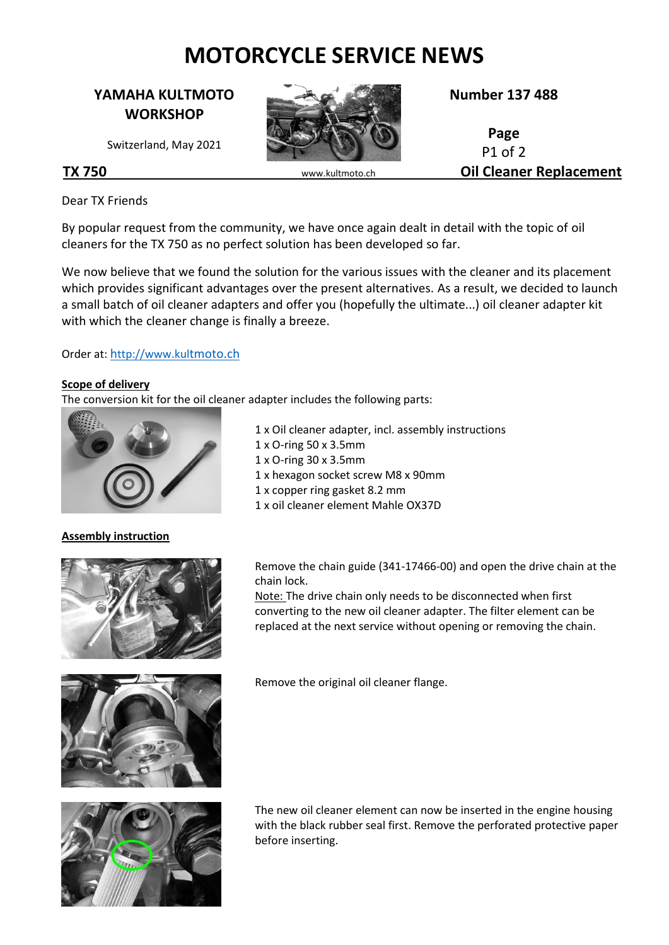# **MOTORCYCLE SERVICE NEWS**

# **YAMAHA KULTMOTO WORKSHOP**

Switzerland, May 2021



**Number 137 488**

**Page** P1 of 2 **TX 750** www.kultmoto.ch **Oil Cleaner Replacement**

Dear TX Friends

By popular request from the community, we have once again dealt in detail with the topic of oil cleaners for the TX 750 as no perfect solution has been developed so far.

> 1 x O-ring 50 x 3.5mm 1 x O-ring 30 x 3.5mm

We now believe that we found the solution for the various issues with the cleaner and its placement which provides significant advantages over the present alternatives. As a result, we decided to launch a small batch of oil cleaner adapters and offer you (hopefully the ultimate...) oil cleaner adapter kit with which the cleaner change is finally a breeze.

1 x Oil cleaner adapter, incl. assembly instructions

1 x hexagon socket screw M8 x 90mm

1 x copper ring gasket 8.2 mm 1 x oil cleaner element Mahle OX37D

#### Order at: h[ttp://www.kul](http://www.kultmoto.ch/)tmoto.ch

#### **Scope of delivery**

The conversion kit for the oil cleaner adapter includes the following parts:



## **Assembly instruction**



Remove the chain guide (341-17466-00) and open the drive chain at the chain lock.

Note: The drive chain only needs to be disconnected when first converting to the new oil cleaner adapter. The filter element can be replaced at the next service without opening or removing the chain.





Remove the original oil cleaner flange.

The new oil cleaner element can now be inserted in the engine housing with the black rubber seal first. Remove the perforated protective paper before inserting.